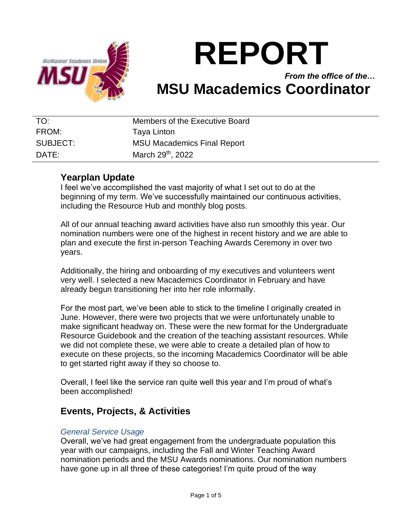

# **REPORT**

## *From the office of the…* **MSU Macademics Coordinator**

| TO:      | Members of the Executive Board     |
|----------|------------------------------------|
| FROM:    | Taya Linton                        |
| SUBJECT: | <b>MSU Macademics Final Report</b> |
| DATE:    | March 29 <sup>th</sup> , 2022      |

#### **Yearplan Update**

I feel we've accomplished the vast majority of what I set out to do at the beginning of my term. We've successfully maintained our continuous activities, including the Resource Hub and monthly blog posts.

All of our annual teaching award activities have also run smoothly this year. Our nomination numbers were one of the highest in recent history and we are able to plan and execute the first in-person Teaching Awards Ceremony in over two years.

Additionally, the hiring and onboarding of my executives and volunteers went very well. I selected a new Macademics Coordinator in February and have already begun transitioning her into her role informally.

For the most part, we've been able to stick to the timeline I originally created in June. However, there were two projects that we were unfortunately unable to make significant headway on. These were the new format for the Undergraduate Resource Guidebook and the creation of the teaching assistant resources. While we did not complete these, we were able to create a detailed plan of how to execute on these projects, so the incoming Macademics Coordinator will be able to get started right away if they so choose to.

Overall, I feel like the service ran quite well this year and I'm proud of what's been accomplished!

## **Events, Projects, & Activities**

#### *General Service Usage*

Overall, we've had great engagement from the undergraduate population this year with our campaigns, including the Fall and Winter Teaching Award nomination periods and the MSU Awards nominations. Our nomination numbers have gone up in all three of these categories! I'm quite proud of the way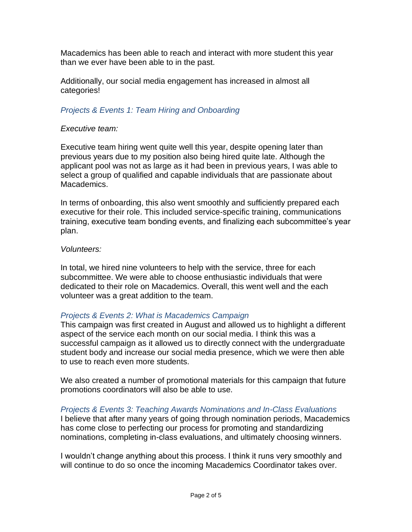Macademics has been able to reach and interact with more student this year than we ever have been able to in the past.

Additionally, our social media engagement has increased in almost all categories!

#### *Projects & Events 1: Team Hiring and Onboarding*

#### *Executive team:*

Executive team hiring went quite well this year, despite opening later than previous years due to my position also being hired quite late. Although the applicant pool was not as large as it had been in previous years, I was able to select a group of qualified and capable individuals that are passionate about Macademics.

In terms of onboarding, this also went smoothly and sufficiently prepared each executive for their role. This included service-specific training, communications training, executive team bonding events, and finalizing each subcommittee's year plan.

#### *Volunteers:*

In total, we hired nine volunteers to help with the service, three for each subcommittee. We were able to choose enthusiastic individuals that were dedicated to their role on Macademics. Overall, this went well and the each volunteer was a great addition to the team.

#### *Projects & Events 2: What is Macademics Campaign*

This campaign was first created in August and allowed us to highlight a different aspect of the service each month on our social media. I think this was a successful campaign as it allowed us to directly connect with the undergraduate student body and increase our social media presence, which we were then able to use to reach even more students.

We also created a number of promotional materials for this campaign that future promotions coordinators will also be able to use.

*Projects & Events 3: Teaching Awards Nominations and In-Class Evaluations* I believe that after many years of going through nomination periods, Macademics has come close to perfecting our process for promoting and standardizing nominations, completing in-class evaluations, and ultimately choosing winners.

I wouldn't change anything about this process. I think it runs very smoothly and will continue to do so once the incoming Macademics Coordinator takes over.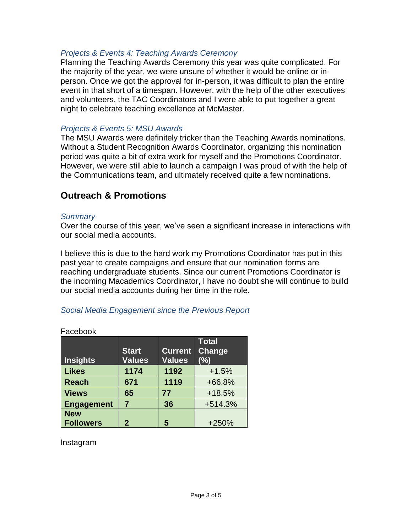#### *Projects & Events 4: Teaching Awards Ceremony*

Planning the Teaching Awards Ceremony this year was quite complicated. For the majority of the year, we were unsure of whether it would be online or inperson. Once we got the approval for in-person, it was difficult to plan the entire event in that short of a timespan. However, with the help of the other executives and volunteers, the TAC Coordinators and I were able to put together a great night to celebrate teaching excellence at McMaster.

#### *Projects & Events 5: MSU Awards*

The MSU Awards were definitely tricker than the Teaching Awards nominations. Without a Student Recognition Awards Coordinator, organizing this nomination period was quite a bit of extra work for myself and the Promotions Coordinator. However, we were still able to launch a campaign I was proud of with the help of the Communications team, and ultimately received quite a few nominations.

### **Outreach & Promotions**

#### *Summary*

Over the course of this year, we've seen a significant increase in interactions with our social media accounts.

I believe this is due to the hard work my Promotions Coordinator has put in this past year to create campaigns and ensure that our nomination forms are reaching undergraduate students. Since our current Promotions Coordinator is the incoming Macademics Coordinator, I have no doubt she will continue to build our social media accounts during her time in the role.

#### *Social Media Engagement since the Previous Report*

| Insights                       | <b>Start</b><br><b>Values</b> | <b>Current</b><br><b>Values</b> | <b>Total</b><br>Change<br>(%) |  |  |
|--------------------------------|-------------------------------|---------------------------------|-------------------------------|--|--|
| <b>Likes</b>                   | 1174                          | 1192                            | $+1.5%$                       |  |  |
| <b>Reach</b>                   | 671                           | 1119                            | +66.8%                        |  |  |
| <b>Views</b>                   | 65                            | 77                              | $+18.5%$                      |  |  |
| <b>Engagement</b>              | 7                             | 36                              | $+514.3%$                     |  |  |
| <b>New</b><br><b>Followers</b> | $\overline{2}$                | 5                               | +250%                         |  |  |

Facebook

Instagram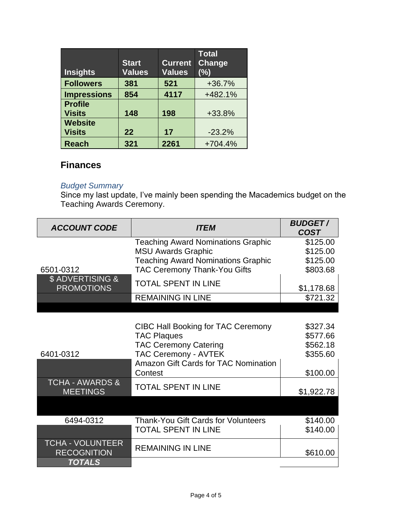| <b>Insights</b>                 | <b>Start</b><br><b>Values</b> | <b>Current</b><br><b>Values</b> | <b>Total</b><br>Change<br>(%) |
|---------------------------------|-------------------------------|---------------------------------|-------------------------------|
| <b>Followers</b>                | 381                           | 521                             | $+36.7%$                      |
| <b>Impressions</b>              | 854                           | 4117                            | +482.1%                       |
| <b>Profile</b><br><b>Visits</b> | 148                           | 198                             | +33.8%                        |
| <b>Website</b><br><b>Visits</b> | 22                            | 17                              | $-23.2%$                      |
| <b>Reach</b>                    | 321                           | 2261                            | $+704.4%$                     |

## **Finances**

#### *Budget Summary*

Since my last update, I've mainly been spending the Macademics budget on the Teaching Awards Ceremony.

| <b>ACCOUNT CODE</b>                           | <b>ITEM</b>                               | <b>BUDGET/</b><br><b>COST</b> |
|-----------------------------------------------|-------------------------------------------|-------------------------------|
|                                               | <b>Teaching Award Nominations Graphic</b> | \$125.00                      |
|                                               | <b>MSU Awards Graphic</b>                 | \$125.00                      |
|                                               | <b>Teaching Award Nominations Graphic</b> | \$125.00                      |
| 6501-0312                                     | TAC Ceremony Thank-You Gifts              | \$803.68                      |
| \$ ADVERTISING &<br><b>PROMOTIONS</b>         | <b>TOTAL SPENT IN LINE</b>                | \$1,178.68                    |
|                                               | <b>REMAINING IN LINE</b>                  | \$721.32                      |
|                                               |                                           |                               |
|                                               |                                           |                               |
|                                               | <b>CIBC Hall Booking for TAC Ceremony</b> | \$327.34                      |
|                                               | <b>TAC Plaques</b>                        | \$577.66                      |
|                                               | <b>TAC Ceremony Catering</b>              | \$562.18                      |
| 6401-0312                                     | <b>TAC Ceremony - AVTEK</b>               | \$355.60                      |
|                                               | Amazon Gift Cards for TAC Nomination      |                               |
|                                               | Contest                                   | \$100.00                      |
| <b>TCHA - AWARDS &amp;</b><br><b>MEETINGS</b> | <b>TOTAL SPENT IN LINE</b>                | \$1,922.78                    |
|                                               |                                           |                               |
| 6494-0312                                     | Thank-You Gift Cards for Volunteers       | \$140.00                      |
|                                               | <b>TOTAL SPENT IN LINE</b>                | \$140.00                      |
| <b>TCHA - VOLUNTEER</b><br><b>RECOGNITION</b> | <b>REMAINING IN LINE</b>                  | \$610.00                      |
| <b>TOTALS</b>                                 |                                           |                               |